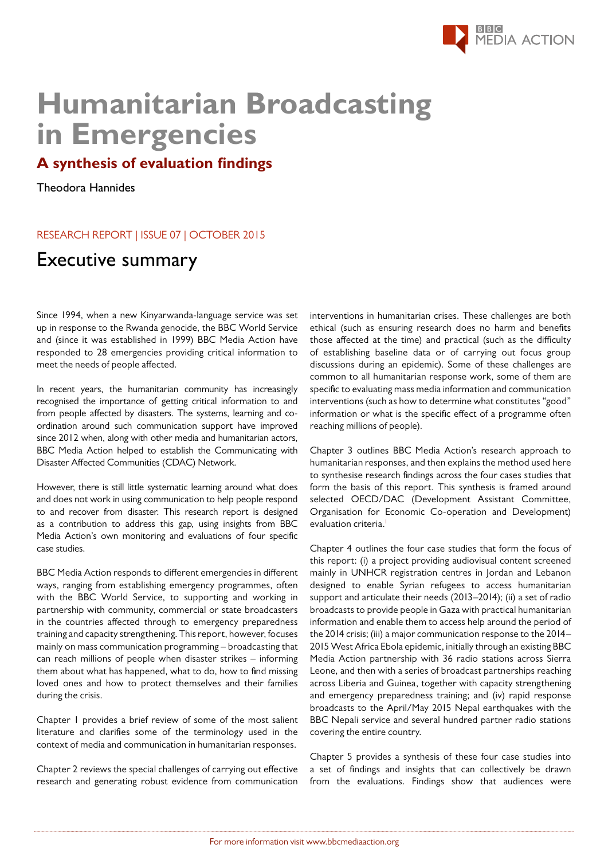

## **After the Arab uprisings The prospects for a media that serves the public in Emergencies Humanitarian Broadcasting**

## **A synthesis of evaluation findings**

Theodora Hannides

## RESEARCH REPORT | ISSUE 07 | OCTOBER 2015

## $E_{\text{X}}$ Executive summary

Since 1994, when a new Kinyarwanda-language service was set up in response to the Rwanda genocide, the BBC World Service Since 1994, when a new Kinyarwanda-language service was set<br>up in response to the Rwanda genocide, the BBC World Service<br>and (since it was established in 1999) BBC Media Action have meet the needs of people affected. responded to 28 emergencies providing critical information to

In recent years, the humanitarian community has increasingly recognised the importance of getting critical information to and In recent years, the humanitarian community has increasingly recognised the importance of getting critical information to and from people affected by disasters. The systems, learning and coordination around such communication support have improved since 2012 when, along with other media and humanitarian actors, BBC Media Action helped to establish the Communicating with Disaster Affected Communities (CDAC) Network. ordination around such communication support have improved<br>since 2012 when, along with other media and humanitarian actors,<br>BBC Media Action helped to establish the Communicating with<br>Disaster Affected Communities (CDAC) N

and does not work in using communication to help people respond to and recover from disaster. This research report is designed as a contribution to address this gap, using insights from BBC Media Action's own monitoring and evaluations of four specific case studies. However, there is still little systematic learning around what does and does not work in using communication to help people respond<br>to and recover from disaster. This research report is designed<br>as a contribution to address this gap, using insights from BBC<br>Media Action's own monitoring an

BBC Media Action responds to different emergencies in different with the BBC World Service, to supporting and working in partnership with community, commercial or state broadcasters in the countries affected through to emergency preparedness training and capacity strengthening. This report, however, focuses mainly on mass communication programming – broadcasting that can reach millions of people when disaster strikes – informing them about what has happened, what to do, how to find missing loved ones and how to protect themselves and their families during the crisis. ways, ranging from establishing emergency programmes, often with the BBC World Service, to supporting and working in<br>partnership with community, commercial or state broadcasters<br>in the countries affected through to emergency preparedness<br>training and capacity strengthening. This re

Chapter 1 provides a brief review of some of the most salient<br>literature and clarifies some of the terminology used in the<br>context of media and communication in humanitarian responses. literature and clarifies some of the terminology used in the context of media and communication in humanitarian responses.

Chapter 2 reviews the special challenges of carrying out effective research and generating robust evidence from communication interventions in humanitarian crises. These challenges are both ethical (such as ensuring research does no harm and benefits those affected at the time) and practical (such as the difficulty of establishing baseline data or of carrying out focus group discussions during an epidemic). Some of these challenges are common to all humanitarian response work, some of them are specific to evaluating mass media information and communication interventions (such as how to determine what constitutes "good" information or what is the specific effect of a programme often reaching millions of people).

Chapter 3 outlines BBC Media Action's research approach to humanitarian responses, and then explains the method used here to synthesise research findings across the four cases studies that form the basis of this report. This synthesis is framed around selected OECD/DAC (Development Assistant Committee, Organisation for Economic Co-operation and Development) evaluation criteria.<sup>1</sup>

this report: (i) a project providing audiovisual content screened mainly in UNHCR registration centres in Jordan and Lebanon designed to enable Syrian refugees to access humanitarian support and articulate their needs (2013–2014); (ii) a set of radio broadcasts to provide people in Gaza with practical humanitarian information and enable them to access help around the period of 2015 West Africa Ebola epidemic, initially through an existing BBC Media Action partnership with 36 radio stations across Sierra Leone, and then with a series of broadcast partnerships reaching across Liberia and Guinea, together with capacity strengthening and emergency preparedness training; and (iv) rapid response broadcasts to the April/May 2015 Nepal earthquakes with the BBC Nepali service and several hundred partner radio stations covering the entire country. The statention given to the entire country. Chapter 4 outlines the four case studies that form the focus of the 2014 crisis; (iii) a major communication response to the 2014–

Chapter 5 provides a synthesis of these four case studies into a set of findings and insights that can collectively be drawn from the evaluations. Findings show that audiences were